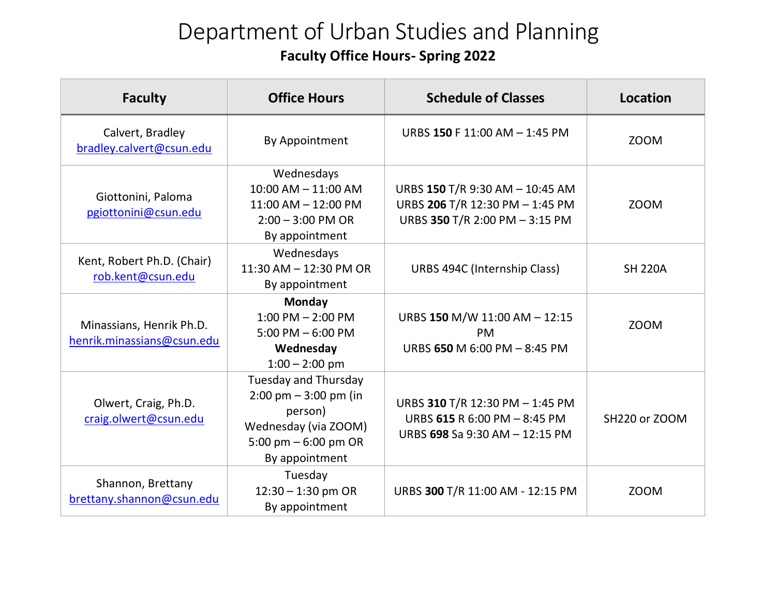## Department of Urban Studies and Planning **Faculty Office Hours- Spring 2022**

| <b>Faculty</b>                                         | <b>Office Hours</b>                                                                                                                                   | <b>Schedule of Classes</b>                                                                           | Location       |
|--------------------------------------------------------|-------------------------------------------------------------------------------------------------------------------------------------------------------|------------------------------------------------------------------------------------------------------|----------------|
| Calvert, Bradley<br>bradley.calvert@csun.edu           | By Appointment                                                                                                                                        | URBS 150 F 11:00 AM - 1:45 PM                                                                        | <b>ZOOM</b>    |
| Giottonini, Paloma<br>pgiottonini@csun.edu             | Wednesdays<br>10:00 AM - 11:00 AM<br>$11:00$ AM $- 12:00$ PM<br>$2:00 - 3:00$ PM OR<br>By appointment                                                 | URBS 150 T/R 9:30 AM - 10:45 AM<br>URBS 206 T/R 12:30 PM - 1:45 PM<br>URBS 350 T/R 2:00 PM - 3:15 PM | ZOOM           |
| Kent, Robert Ph.D. (Chair)<br>rob.kent@csun.edu        | Wednesdays<br>11:30 AM - 12:30 PM OR<br>By appointment                                                                                                | URBS 494C (Internship Class)                                                                         | <b>SH 220A</b> |
| Minassians, Henrik Ph.D.<br>henrik.minassians@csun.edu | Monday<br>$1:00$ PM $- 2:00$ PM<br>$5:00$ PM $-6:00$ PM<br>Wednesday<br>$1:00 - 2:00$ pm                                                              | URBS 150 M/W 11:00 AM - 12:15<br><b>PM</b><br>URBS 650 M 6:00 PM - 8:45 PM                           | <b>ZOOM</b>    |
| Olwert, Craig, Ph.D.<br>craig.olwert@csun.edu          | <b>Tuesday and Thursday</b><br>$2:00 \text{ pm} - 3:00 \text{ pm}$ (in<br>person)<br>Wednesday (via ZOOM)<br>5:00 pm $-$ 6:00 pm OR<br>By appointment | URBS 310 T/R 12:30 PM - 1:45 PM<br>URBS 615 R 6:00 PM - 8:45 PM<br>URBS 698 Sa 9:30 AM - 12:15 PM    | SH220 or ZOOM  |
| Shannon, Brettany<br>brettany.shannon@csun.edu         | Tuesday<br>$12:30 - 1:30$ pm OR<br>By appointment                                                                                                     | URBS 300 T/R 11:00 AM - 12:15 PM                                                                     | ZOOM           |